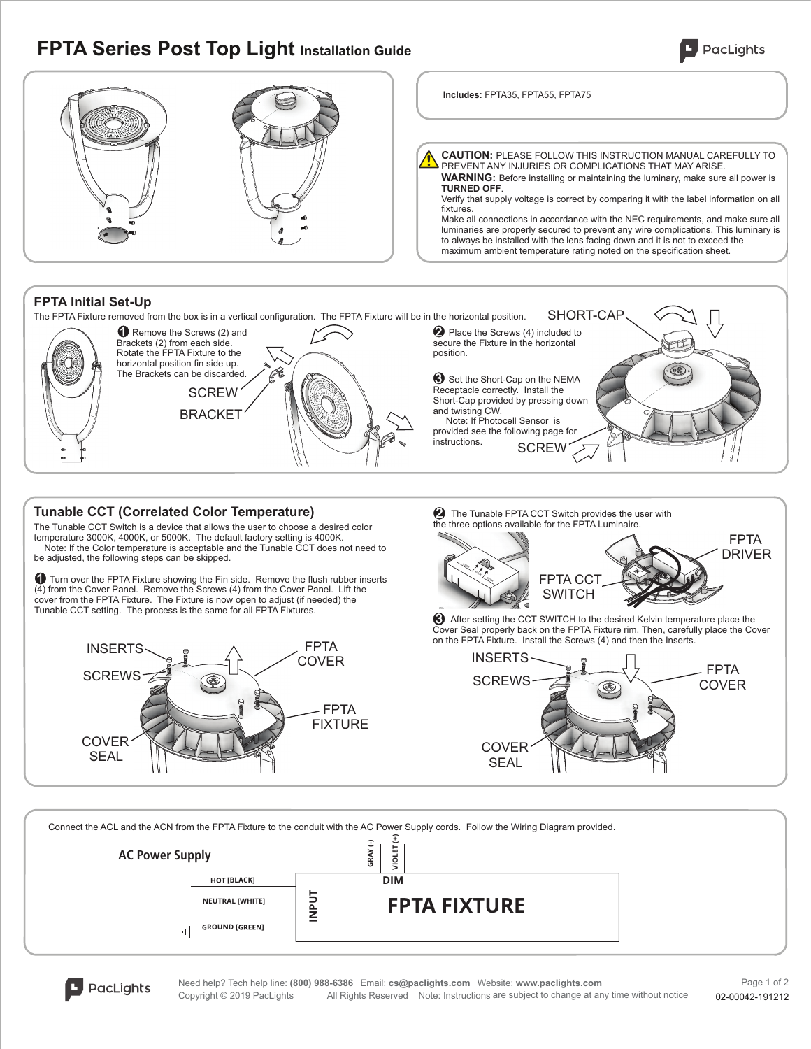# **FPTA Series Post Top Light Installation Guide**

**AC Power Supply**

ا ۱،

**GROUND [GREEN] NEUTRAL [WHITE] [BLACK]**

**INPUT**





Need help? Tech help line: **(800) 988-6386** Email: **cs@paclights.com** Website: **www.paclights.com** PacLights Copyright © 2019 PacLights All Rights Reserved Note: Instructions are subject to change at any time without notice

**DIM**

02-00042-191212 Page 1 of 2